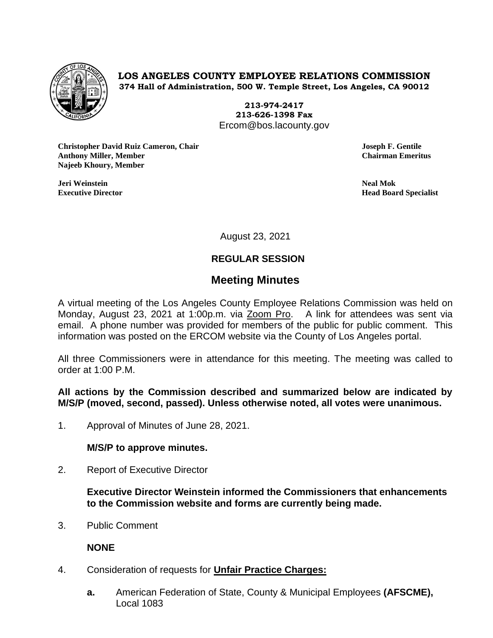

# **LOS ANGELES COUNTY EMPLOYEE RELATIONS COMMISSION 374 Hall of Administration, 500 W. Temple Street, Los Angeles, CA 90012**

**213-974-2417 213-626-1398 Fax** Ercom@bos.lacounty.gov

**Christopher David Ruiz Cameron, Chair Joseph F. Gentile Anthony Miller, Member Chairman Emeritus Najeeb Khoury, Member**

**Jeri Weinstein Neal Mok**

**Executive Director Head Board Specialist**

August 23, 2021

# **REGULAR SESSION**

# **Meeting Minutes**

A virtual meeting of the Los Angeles County Employee Relations Commission was held on Monday, August 23, 2021 at 1:00p.m. via Zoom Pro. A link for attendees was sent via email. A phone number was provided for members of the public for public comment. This information was posted on the ERCOM website via the County of Los Angeles portal.

All three Commissioners were in attendance for this meeting. The meeting was called to order at 1:00 P.M.

**All actions by the Commission described and summarized below are indicated by M/S/P (moved, second, passed). Unless otherwise noted, all votes were unanimous.**

1. Approval of Minutes of June 28, 2021.

**M/S/P to approve minutes.**

2. Report of Executive Director

**Executive Director Weinstein informed the Commissioners that enhancements to the Commission website and forms are currently being made.**

3. Public Comment

**NONE**

- 4. Consideration of requests for **Unfair Practice Charges:**
	- **a.** American Federation of State, County & Municipal Employees **(AFSCME),** Local 1083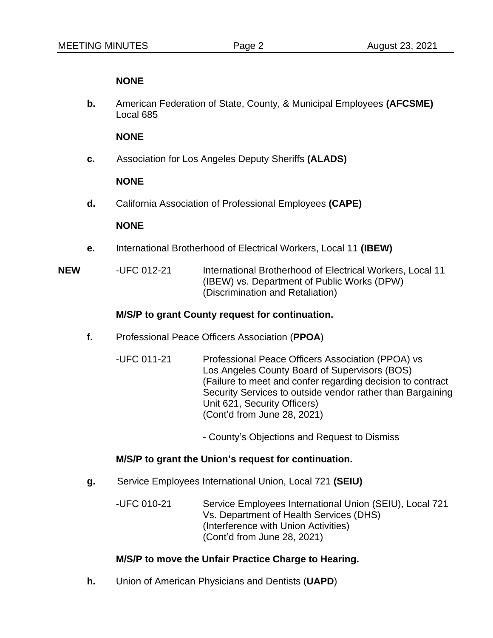#### **NONE**

**b.** American Federation of State, County, & Municipal Employees **(AFCSME)** Local 685

#### **NONE**

**c.** Association for Los Angeles Deputy Sheriffs **(ALADS)**

# **NONE**

**d.** California Association of Professional Employees **(CAPE)**

# **NONE**

**e.** International Brotherhood of Electrical Workers, Local 11 **(IBEW)**

**NEW** -UFC 012-21 International Brotherhood of Electrical Workers, Local 11 (IBEW) vs. Department of Public Works (DPW) (Discrimination and Retaliation)

# **M/S/P to grant County request for continuation.**

- **f.** Professional Peace Officers Association (**PPOA**)
	- -UFC 011-21 Professional Peace Officers Association (PPOA) vs Los Angeles County Board of Supervisors (BOS) (Failure to meet and confer regarding decision to contract Security Services to outside vendor rather than Bargaining Unit 621, Security Officers) (Cont'd from June 28, 2021)

- County's Objections and Request to Dismiss

#### **M/S/P to grant the Union's request for continuation.**

**g.** Service Employees International Union, Local 721 **(SEIU)**

-UFC 010-21 Service Employees International Union (SEIU), Local 721 Vs. Department of Health Services (DHS) (Interference with Union Activities) (Cont'd from June 28, 2021)

# **M/S/P to move the Unfair Practice Charge to Hearing.**

**h.** Union of American Physicians and Dentists (**UAPD**)